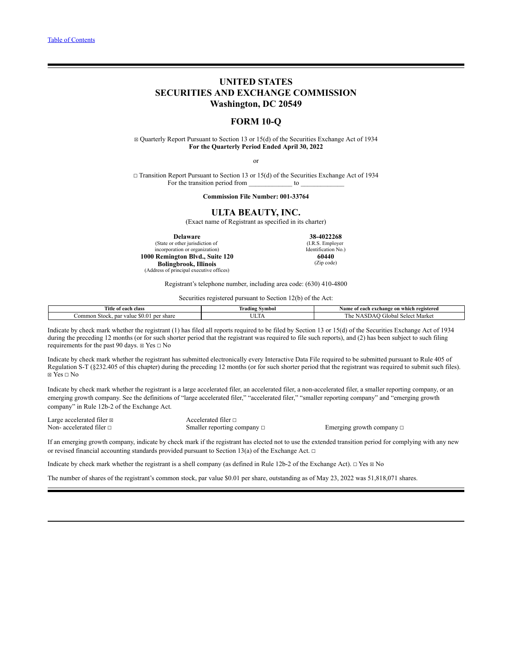# **UNITED STATES SECURITIES AND EXCHANGE COMMISSION Washington, DC 20549**

# **FORM 10-Q**

☒ Quarterly Report Pursuant to Section 13 or 15(d) of the Securities Exchange Act of 1934 **For the Quarterly Period Ended April 30, 2022**

or

☐ Transition Report Pursuant to Section 13 or 15(d) of the Securities Exchange Act of 1934 For the transition period from to  $\sim$ 

**Commission File Number: 001-33764**

# **ULTA BEAUTY, INC.**

(Exact name of Registrant as specified in its charter)

**Delaware** (State or other jurisdiction of incorporation or organization) **1000 Remington Blvd., Suite 120 Bolingbrook, Illinois** (Address of principal executive offices)

**38-4022268** (I.R.S. Employer Identification No.) **60440** (Zip code)

Registrant's telephone number, including area code: (630) 410-4800

Securities registered pursuant to Section 12(b) of the Act:

| <b>Title</b>                                               | * Symbol – | Name of each                    |
|------------------------------------------------------------|------------|---------------------------------|
| e of each class                                            | frading    | i exchange on which registered  |
| share<br>ommon<br>par<br>value<br>Stock.<br>per<br>$-0.01$ | $-$<br>.   | Select Market<br>Jlobal<br>. ne |

Indicate by check mark whether the registrant (1) has filed all reports required to be filed by Section 13 or 15(d) of the Securities Exchange Act of 1934 during the preceding 12 months (or for such shorter period that the registrant was required to file such reports), and (2) has been subject to such filing requirements for the past 90 days.  $\boxtimes$  Yes  $\Box$  No

Indicate by check mark whether the registrant has submitted electronically every Interactive Data File required to be submitted pursuant to Rule 405 of Regulation S-T (§232.405 of this chapter) during the preceding 12 months (or for such shorter period that the registrant was required to submit such files). ☒ Yes ☐ No

Indicate by check mark whether the registrant is a large accelerated filer, an accelerated filer, a non-accelerated filer, a smaller reporting company, or an emerging growth company. See the definitions of "large accelerated filer," "accelerated filer," "smaller reporting company" and "emerging growth company" in Rule 12b-2 of the Exchange Act.

Large accelerated filer ⊠ Accelerated filer □

Non- accelerated filer □ Smaller reporting company □ Emerging growth company □

If an emerging growth company, indicate by check mark if the registrant has elected not to use the extended transition period for complying with any new or revised financial accounting standards provided pursuant to Section 13(a) of the Exchange Act. □

Indicate by check mark whether the registrant is a shell company (as defined in Rule 12b-2 of the Exchange Act). ☐ Yes ☒ No

The number of shares of the registrant's common stock, par value \$0.01 per share, outstanding as of May 23, 2022 was 51,818,071 shares.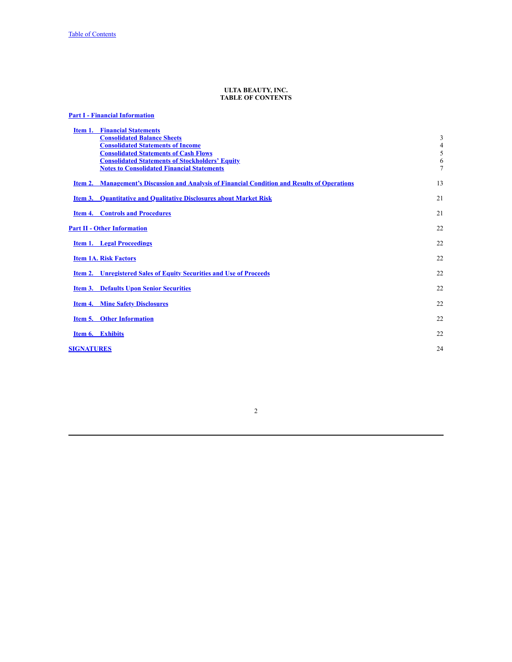### **ULTA BEAUTY, INC. TABLE OF CONTENTS**

# <span id="page-1-0"></span>**Part I - Financial [Information](#page-2-0)**

| Item 1.<br><b>Financial Statements</b>                                                               |                |
|------------------------------------------------------------------------------------------------------|----------------|
| <b>Consolidated Balance Sheets</b>                                                                   | 3              |
| <b>Consolidated Statements of Income</b>                                                             | $\overline{4}$ |
| <b>Consolidated Statements of Cash Flows</b>                                                         | 5              |
| <b>Consolidated Statements of Stockholders' Equity</b>                                               | 6              |
| <b>Notes to Consolidated Financial Statements</b>                                                    | $\overline{7}$ |
| <u>Item 2. Management's Discussion and Analysis of Financial Condition and Results of Operations</u> | 13             |
| <b>Item 3. Quantitative and Qualitative Disclosures about Market Risk</b>                            | 21             |
| <b>Item 4. Controls and Procedures</b>                                                               | 21             |
| <b>Part II - Other Information</b>                                                                   | 22             |
| <b>Item 1. Legal Proceedings</b>                                                                     | 22             |
| <b>Item 1A. Risk Factors</b>                                                                         | 22             |
| <u>Item 2. Unregistered Sales of Equity Securities and Use of Proceeds</u>                           | 22             |
| <b>Item 3. Defaults Upon Senior Securities</b>                                                       | 22             |
| <b>Item 4. Mine Safety Disclosures</b>                                                               | 22             |
| <b>Item 5. Other Information</b>                                                                     | 22             |
| <b>Item 6. Exhibits</b>                                                                              | 22             |
| <b>SIGNATURES</b>                                                                                    | 24             |
|                                                                                                      |                |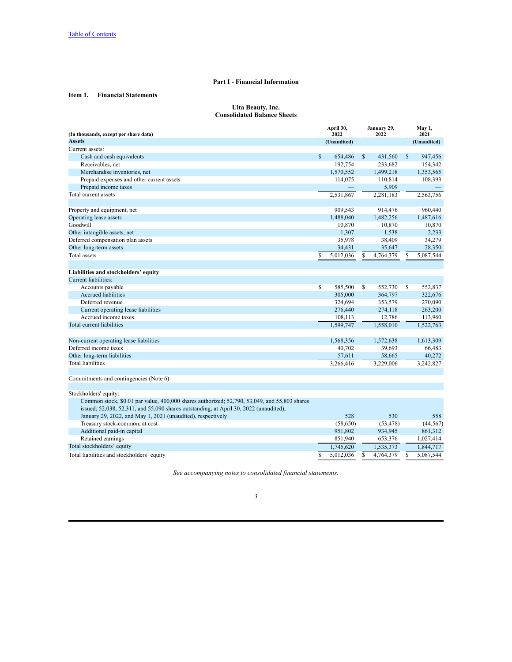# **Part I - Financial Information**

# <span id="page-2-1"></span><span id="page-2-0"></span>**Item 1. Financial Statements**

### **Ulta Beauty, Inc. Consolidated Balance Sheets**

<span id="page-2-2"></span>

| (In thousands, except per share data)                                                        | April 30,<br>2022 |             | January 29,<br>2022 |           | May 1,<br>2021 |             |  |
|----------------------------------------------------------------------------------------------|-------------------|-------------|---------------------|-----------|----------------|-------------|--|
| <b>Assets</b>                                                                                |                   | (Unaudited) |                     |           |                | (Unaudited) |  |
| Current assets:                                                                              |                   |             |                     |           |                |             |  |
| Cash and cash equivalents                                                                    | $\mathbb{S}$      | 654,486     | \$                  | 431,560   | \$             | 947,456     |  |
| Receivables, net                                                                             |                   | 192,754     |                     | 233,682   |                | 154,342     |  |
| Merchandise inventories, net                                                                 |                   | 1,570,552   |                     | 1,499,218 |                | 1,353,565   |  |
| Prepaid expenses and other current assets                                                    |                   | 114,075     |                     | 110,814   |                | 108,393     |  |
| Prepaid income taxes                                                                         |                   |             |                     | 5,909     |                |             |  |
| Total current assets                                                                         |                   | 2,531,867   |                     | 2,281,183 |                | 2,563,756   |  |
|                                                                                              |                   |             |                     |           |                |             |  |
| Property and equipment, net                                                                  |                   | 909,543     |                     | 914,476   |                | 960,440     |  |
| Operating lease assets                                                                       |                   | 1,488,040   |                     | 1,482,256 |                | 1,487,616   |  |
| Goodwill                                                                                     |                   | 10,870      |                     | 10,870    |                | 10,870      |  |
| Other intangible assets, net                                                                 |                   | 1,307       |                     | 1,538     |                | 2,233       |  |
| Deferred compensation plan assets                                                            |                   | 35,978      |                     | 38,409    |                | 34,279      |  |
| Other long-term assets                                                                       |                   | 34,431      |                     | 35,647    |                | 28,350      |  |
| Total assets                                                                                 | \$                | 5,012,036   | \$                  | 4,764,379 | \$             | 5,087,544   |  |
|                                                                                              |                   |             |                     |           |                |             |  |
| Liabilities and stockholders' equity                                                         |                   |             |                     |           |                |             |  |
| Current liabilities:                                                                         |                   |             |                     |           |                |             |  |
| Accounts payable                                                                             | \$                | 585,500     | \$                  | 552,730   | \$             | 552,837     |  |
| <b>Accrued liabilities</b>                                                                   |                   | 305,000     |                     | 364,797   |                | 322,676     |  |
| Deferred revenue                                                                             |                   | 324,694     |                     | 353,579   |                | 270,090     |  |
| Current operating lease liabilities                                                          |                   | 276,440     |                     | 274,118   |                | 263,200     |  |
| Accrued income taxes                                                                         |                   | 108,113     |                     | 12,786    |                | 113,960     |  |
| Total current liabilities                                                                    |                   | 1,599,747   |                     | 1,558,010 |                | 1,522,763   |  |
|                                                                                              |                   |             |                     |           |                |             |  |
| Non-current operating lease liabilities                                                      |                   | 1,568,356   |                     | 1,572,638 |                | 1,613,309   |  |
| Deferred income taxes                                                                        |                   | 40,702      |                     | 39,693    |                | 66,483      |  |
| Other long-term liabilities                                                                  |                   | 57,611      |                     | 58,665    |                | 40,272      |  |
| <b>Total liabilities</b>                                                                     |                   | 3,266,416   |                     | 3,229,006 |                | 3,242,827   |  |
|                                                                                              |                   |             |                     |           |                |             |  |
| Commitments and contingencies (Note 6)                                                       |                   |             |                     |           |                |             |  |
|                                                                                              |                   |             |                     |           |                |             |  |
| Stockholders' equity:                                                                        |                   |             |                     |           |                |             |  |
| Common stock, \$0.01 par value, 400,000 shares authorized; 52,790, 53,049, and 55,803 shares |                   |             |                     |           |                |             |  |
| issued; 52,038, 52,311, and 55,090 shares outstanding; at April 30, 2022 (unaudited),        |                   |             |                     |           |                |             |  |
| January 29, 2022, and May 1, 2021 (unaudited), respectively                                  |                   | 528         |                     | 530       |                | 558         |  |
| Treasury stock-common, at cost                                                               |                   | (58,650)    |                     | (53, 478) |                | (44, 567)   |  |
| Additional paid-in capital                                                                   |                   | 951,802     |                     | 934,945   |                | 861,312     |  |
| Retained earnings                                                                            |                   | 851,940     |                     | 653,376   |                | 1,027,414   |  |
| Total stockholders' equity                                                                   |                   | 1,745,620   |                     | 1,535,373 |                | 1,844,717   |  |
| Total liabilities and stockholders' equity                                                   | \$                | 5,012,036   | \$                  | 4,764,379 | \$             | 5,087,544   |  |

*See accompanying notes to consolidated financial statements.*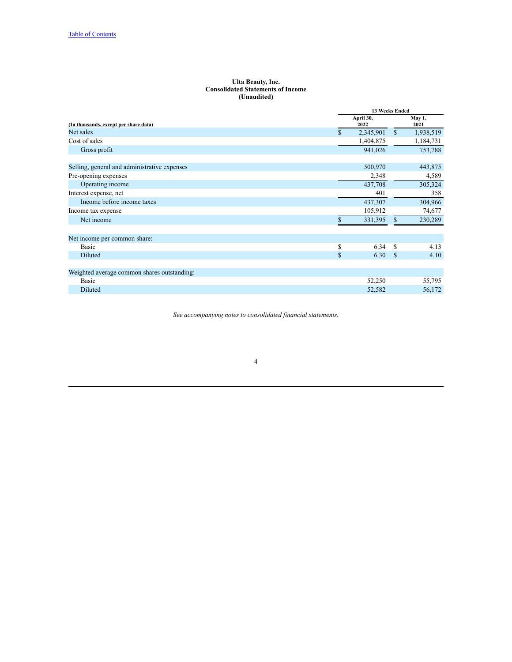### **Ulta Beauty, Inc. Consolidated Statements of Income (Unaudited)**

<span id="page-3-0"></span>

|                                              | <b>13 Weeks Ended</b> |              |                |  |  |  |  |  |
|----------------------------------------------|-----------------------|--------------|----------------|--|--|--|--|--|
| (In thousands, except per share data)        | April 30,<br>2022     |              | May 1,<br>2021 |  |  |  |  |  |
| Net sales                                    | \$<br>2,345,901       | $\mathbb{S}$ | 1,938,519      |  |  |  |  |  |
| Cost of sales                                | 1,404,875             |              | 1,184,731      |  |  |  |  |  |
| Gross profit                                 | 941,026               |              | 753,788        |  |  |  |  |  |
|                                              |                       |              |                |  |  |  |  |  |
| Selling, general and administrative expenses | 500,970               |              | 443,875        |  |  |  |  |  |
| Pre-opening expenses                         | 2,348                 |              | 4,589          |  |  |  |  |  |
| Operating income                             | 437,708               |              | 305,324        |  |  |  |  |  |
| Interest expense, net                        | 401                   |              | 358            |  |  |  |  |  |
| Income before income taxes                   | 437,307               |              | 304,966        |  |  |  |  |  |
| Income tax expense                           | 105,912               |              | 74,677         |  |  |  |  |  |
| Net income                                   | 331,395               | \$           | 230,289        |  |  |  |  |  |
|                                              |                       |              |                |  |  |  |  |  |
| Net income per common share:                 |                       |              |                |  |  |  |  |  |
| Basic                                        | \$<br>6.34            | -S           | 4.13           |  |  |  |  |  |
| Diluted                                      | \$<br>6.30            | \$           | 4.10           |  |  |  |  |  |
| Weighted average common shares outstanding:  |                       |              |                |  |  |  |  |  |
| Basic                                        | 52,250                |              | 55,795         |  |  |  |  |  |
| Diluted                                      | 52,582                |              | 56,172         |  |  |  |  |  |
|                                              |                       |              |                |  |  |  |  |  |

*See accompanying notes to consolidated financial statements.*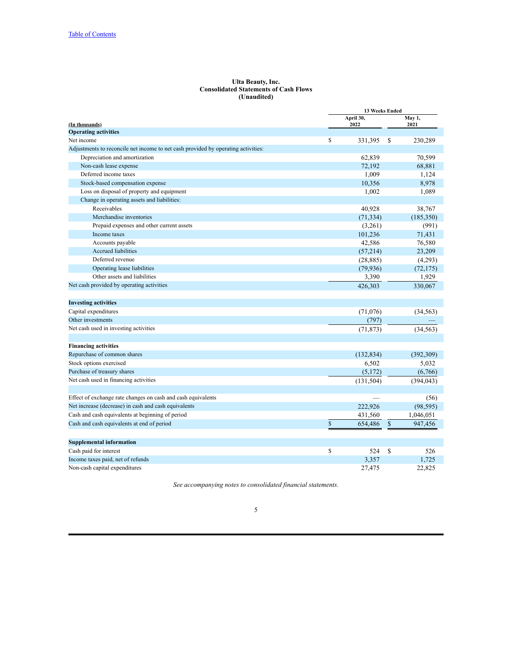#### **Ulta Beauty, Inc. Consolidated Statements of Cash Flows (Unaudited)**

<span id="page-4-0"></span>

|                                                                                   | <b>13 Weeks Ended</b> |                   |              |                |
|-----------------------------------------------------------------------------------|-----------------------|-------------------|--------------|----------------|
| (In thousands)                                                                    |                       | April 30,<br>2022 |              | May 1,<br>2021 |
| <b>Operating activities</b>                                                       |                       |                   |              |                |
| Net income                                                                        | \$                    | 331,395           | S            | 230,289        |
| Adjustments to reconcile net income to net cash provided by operating activities: |                       |                   |              |                |
| Depreciation and amortization                                                     |                       | 62,839            |              | 70,599         |
| Non-cash lease expense                                                            |                       | 72,192            |              | 68,881         |
| Deferred income taxes                                                             |                       | 1,009             |              | 1,124          |
| Stock-based compensation expense                                                  |                       | 10,356            |              | 8,978          |
| Loss on disposal of property and equipment                                        |                       | 1,002             |              | 1,089          |
| Change in operating assets and liabilities:                                       |                       |                   |              |                |
| Receivables                                                                       |                       | 40,928            |              | 38,767         |
| Merchandise inventories                                                           |                       | (71, 334)         |              | (185,350)      |
| Prepaid expenses and other current assets                                         |                       | (3,261)           |              | (991)          |
| Income taxes                                                                      |                       | 101,236           |              | 71,431         |
| Accounts payable                                                                  |                       | 42,586            |              | 76,580         |
| <b>Accrued liabilities</b>                                                        |                       | (57,214)          |              | 23,209         |
| Deferred revenue                                                                  |                       | (28, 885)         |              | (4,293)        |
| Operating lease liabilities                                                       |                       | (79, 936)         |              | (72, 175)      |
| Other assets and liabilities                                                      |                       | 3,390             |              | 1,929          |
| Net cash provided by operating activities                                         |                       | 426,303           |              | 330,067        |
| <b>Investing activities</b>                                                       |                       |                   |              |                |
| Capital expenditures                                                              |                       | (71,076)          |              | (34, 563)      |
| Other investments                                                                 |                       | (797)             |              |                |
| Net cash used in investing activities                                             |                       | (71, 873)         |              | (34, 563)      |
|                                                                                   |                       |                   |              |                |
| <b>Financing activities</b>                                                       |                       |                   |              |                |
| Repurchase of common shares                                                       |                       | (132, 834)        |              | (392, 309)     |
| Stock options exercised                                                           |                       | 6,502             |              | 5,032          |
| Purchase of treasury shares                                                       |                       | (5,172)           |              | (6,766)        |
| Net cash used in financing activities                                             |                       | (131, 504)        |              | (394, 043)     |
|                                                                                   |                       |                   |              |                |
| Effect of exchange rate changes on cash and cash equivalents                      |                       |                   |              | (56)           |
| Net increase (decrease) in cash and cash equivalents                              |                       | 222,926           |              | (98, 595)      |
| Cash and cash equivalents at beginning of period                                  |                       | 431,560           |              | 1,046,051      |
| Cash and cash equivalents at end of period                                        | \$                    | 654,486           | $\mathbb{S}$ | 947,456        |
| <b>Supplemental information</b>                                                   |                       |                   |              |                |
| Cash paid for interest                                                            | \$                    | 524               | \$           | 526            |
| Income taxes paid, net of refunds                                                 |                       | 3,357             |              | 1,725          |
| Non-cash capital expenditures                                                     |                       | 27,475            |              | 22,825         |

*See accompanying notes to consolidated financial statements.*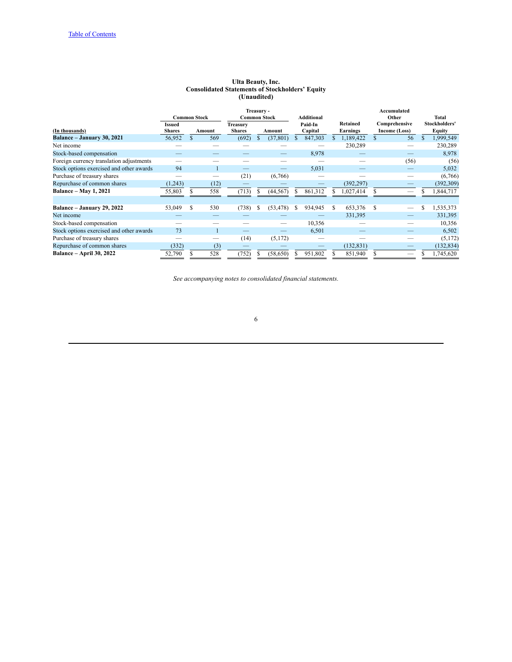#### **Ulta Beauty, Inc. Consolidated Statements of Stockholders' Equity (Unaudited)**

<span id="page-5-0"></span>

|                                          | <b>Common Stock</b> |   |        | <b>Common Stock</b> | Treasury - |           | <b>Additional</b> |     |                 |   | Accumulated<br>Other | Total         |
|------------------------------------------|---------------------|---|--------|---------------------|------------|-----------|-------------------|-----|-----------------|---|----------------------|---------------|
|                                          | Issued              |   |        | <b>Treasury</b>     |            |           | Paid-In           |     | <b>Retained</b> |   | Comprehensive        | Stockholders' |
| (In thousands)                           | <b>Shares</b>       |   | Amount | <b>Shares</b>       |            | Amount    | Capital           |     | Earnings        |   | Income (Loss)        | Equity        |
| Balance - January 30, 2021               | 56,952              |   | 569    | (692)               | <b>S</b>   | (37, 801) | 847,303           |     | 1,189,422       |   | 56                   | 1,999,549     |
| Net income                               |                     |   |        |                     |            |           |                   |     | 230,289         |   |                      | 230,289       |
| Stock-based compensation                 |                     |   |        |                     |            |           | 8,978             |     |                 |   |                      | 8,978         |
| Foreign currency translation adjustments |                     |   |        |                     |            |           |                   |     |                 |   | (56)                 | (56)          |
| Stock options exercised and other awards | 94                  |   |        |                     |            |           | 5,031             |     |                 |   |                      | 5,032         |
| Purchase of treasury shares              |                     |   |        | (21)                |            | (6,766)   |                   |     |                 |   |                      | (6,766)       |
| Repurchase of common shares              | (1,243)             |   | (12)   |                     |            |           |                   |     | (392, 297)      |   |                      | (392, 309)    |
| <b>Balance - May 1, 2021</b>             | 55,803              | S | 558    | (713)               |            | (44, 567) | 861,312           |     | 1,027,414       |   |                      | 1,844,717     |
|                                          |                     |   |        |                     |            |           |                   |     |                 |   |                      |               |
| Balance - January 29, 2022               | 53,049              | S | 530    | (738)               | -8         | (53, 478) | 934,945           | \$. | 653,376         | S |                      | 535,373       |
| Net income                               |                     |   |        |                     |            |           |                   |     | 331,395         |   |                      | 331,395       |
| Stock-based compensation                 |                     |   |        |                     |            |           | 10,356            |     |                 |   |                      | 10,356        |
| Stock options exercised and other awards | 73                  |   |        |                     |            |           | 6,501             |     |                 |   |                      | 6,502         |
| Purchase of treasury shares              |                     |   |        | (14)                |            | (5,172)   |                   |     |                 |   |                      | (5,172)       |
| Repurchase of common shares              | (332)               |   | (3)    |                     |            |           |                   |     | (132, 831)      |   |                      | (132, 834)    |
| <b>Balance – April 30, 2022</b>          | 52,790              |   | 528    | (752)               |            | (58, 650) | 951,802           |     | 851,940         |   |                      | ,745,620      |

*See accompanying notes to consolidated financial statements.*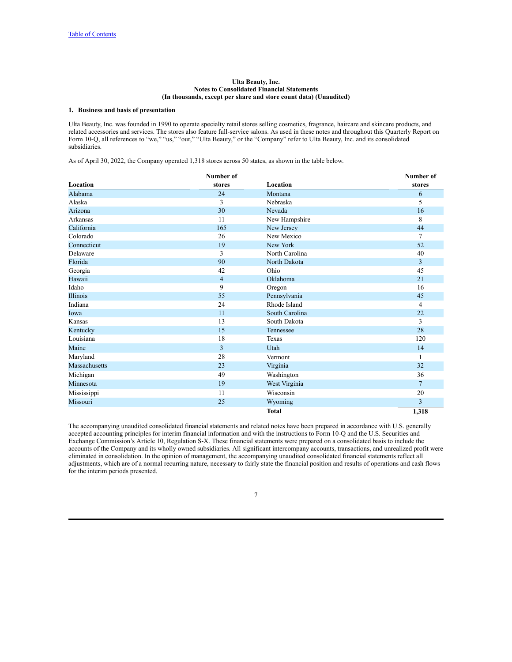## **Ulta Beauty, Inc. Notes to Consolidated Financial Statements (In thousands, except per share and store count data) (Unaudited)**

## <span id="page-6-0"></span>**1. Business and basis of presentation**

Ulta Beauty, Inc. was founded in 1990 to operate specialty retail stores selling cosmetics, fragrance, haircare and skincare products, and related accessories and services. The stores also feature full-service salons. As used in these notes and throughout this Quarterly Report on Form 10-Q, all references to "we," "us," "our," "Ulta Beauty," or the "Company" refer to Ulta Beauty, Inc. and its consolidated subsidiaries.

As of April 30, 2022, the Company operated 1,318 stores across 50 states, as shown in the table below.

|                      | Number of      |                | Number of      |
|----------------------|----------------|----------------|----------------|
| Location             | stores         | Location       | stores         |
| Alabama              | 24             | Montana        | 6              |
| Alaska               | 3              | Nebraska       | 5              |
| Arizona              | 30             | Nevada         | 16             |
| Arkansas             | 11             | New Hampshire  | 8              |
| California           | 165            | New Jersey     | 44             |
| Colorado             | 26             | New Mexico     | $\overline{7}$ |
| Connecticut          | 19             | New York       | 52             |
| Delaware             | 3              | North Carolina | 40             |
| Florida              | 90             | North Dakota   | 3              |
| Georgia              | 42             | Ohio           | 45             |
| Hawaii               | $\overline{4}$ | Oklahoma       | 21             |
| Idaho                | 9              | Oregon         | 16             |
| Illinois             | 55             | Pennsylvania   | 45             |
| Indiana              | 24             | Rhode Island   | 4              |
| Iowa                 | 11             | South Carolina | 22             |
| Kansas               | 13             | South Dakota   | 3              |
| Kentucky             | 15             | Tennessee      | 28             |
| Louisiana            | 18             | Texas          | 120            |
| Maine                | 3              | Utah           | 14             |
| Maryland             | 28             | Vermont        | 1              |
| <b>Massachusetts</b> | 23             | Virginia       | 32             |
| Michigan             | 49             | Washington     | 36             |
| Minnesota            | 19             | West Virginia  | $\overline{7}$ |
| Mississippi          | 11             | Wisconsin      | 20             |
| Missouri             | 25             | Wyoming        | 3              |
|                      |                | <b>Total</b>   | 1.318          |

The accompanying unaudited consolidated financial statements and related notes have been prepared in accordance with U.S. generally accepted accounting principles for interim financial information and with the instructions to Form 10-Q and the U.S. Securities and Exchange Commission's Article 10, Regulation S-X. These financial statements were prepared on a consolidated basis to include the accounts of the Company and its wholly owned subsidiaries. All significant intercompany accounts, transactions, and unrealized profit were eliminated in consolidation. In the opinion of management, the accompanying unaudited consolidated financial statements reflect all adjustments, which are of a normal recurring nature, necessary to fairly state the financial position and results of operations and cash flows for the interim periods presented.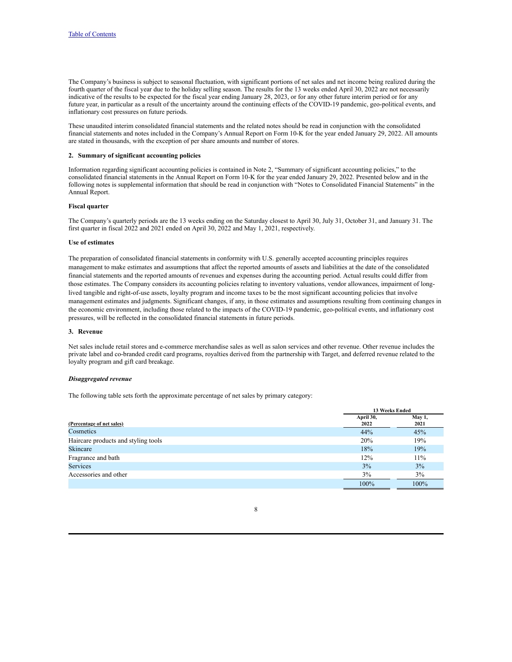The Company's business is subject to seasonal fluctuation, with significant portions of net sales and net income being realized during the fourth quarter of the fiscal year due to the holiday selling season. The results for the 13 weeks ended April 30, 2022 are not necessarily indicative of the results to be expected for the fiscal year ending January 28, 2023, or for any other future interim period or for any future year, in particular as a result of the uncertainty around the continuing effects of the COVID-19 pandemic, geo-political events, and inflationary cost pressures on future periods.

These unaudited interim consolidated financial statements and the related notes should be read in conjunction with the consolidated financial statements and notes included in the Company's Annual Report on Form 10-K for the year ended January 29, 2022. All amounts are stated in thousands, with the exception of per share amounts and number of stores.

### **2. Summary of significant accounting policies**

Information regarding significant accounting policies is contained in Note 2, "Summary of significant accounting policies," to the consolidated financial statements in the Annual Report on Form 10-K for the year ended January 29, 2022. Presented below and in the following notes is supplemental information that should be read in conjunction with "Notes to Consolidated Financial Statements" in the Annual Report.

### **Fiscal quarter**

The Company's quarterly periods are the 13 weeks ending on the Saturday closest to April 30, July 31, October 31, and January 31. The first quarter in fiscal 2022 and 2021 ended on April 30, 2022 and May 1, 2021, respectively.

### **Use of estimates**

The preparation of consolidated financial statements in conformity with U.S. generally accepted accounting principles requires management to make estimates and assumptions that affect the reported amounts of assets and liabilities at the date of the consolidated financial statements and the reported amounts of revenues and expenses during the accounting period. Actual results could differ from those estimates. The Company considers its accounting policies relating to inventory valuations, vendor allowances, impairment of longlived tangible and right-of-use assets, loyalty program and income taxes to be the most significant accounting policies that involve management estimates and judgments. Significant changes, if any, in those estimates and assumptions resulting from continuing changes in the economic environment, including those related to the impacts of the COVID-19 pandemic, geo-political events, and inflationary cost pressures, will be reflected in the consolidated financial statements in future periods.

## **3. Revenue**

Net sales include retail stores and e-commerce merchandise sales as well as salon services and other revenue. Other revenue includes the private label and co-branded credit card programs, royalties derived from the partnership with Target, and deferred revenue related to the loyalty program and gift card breakage.

#### *Disaggregated revenue*

The following table sets forth the approximate percentage of net sales by primary category:

|                                     | <b>13 Weeks Ended</b> |                |  |
|-------------------------------------|-----------------------|----------------|--|
| (Percentage of net sales)           | April 30,<br>2022     | May 1,<br>2021 |  |
| Cosmetics                           | 44%                   | 45%            |  |
| Haircare products and styling tools | 20%                   | 19%            |  |
| <b>Skincare</b>                     | 18%                   | 19%            |  |
| Fragrance and bath                  | 12%                   | 11%            |  |
| <b>Services</b>                     | 3%                    | 3%             |  |
| Accessories and other               | 3%                    | 3%             |  |
|                                     | 100%                  | 100%           |  |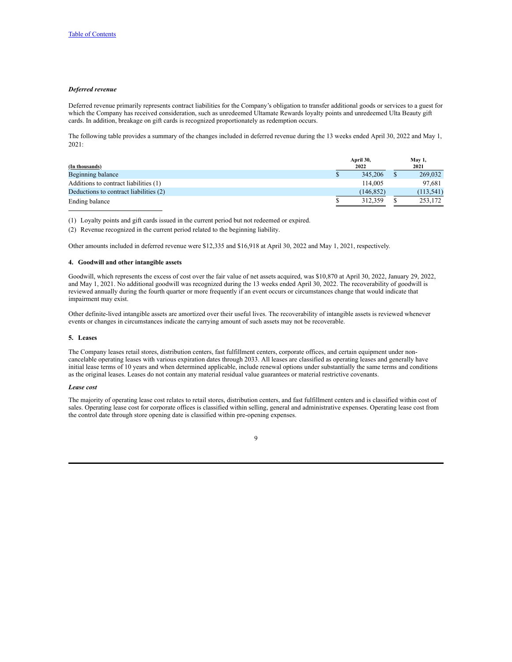### *Deferred revenue*

Deferred revenue primarily represents contract liabilities for the Company's obligation to transfer additional goods or services to a guest for which the Company has received consideration, such as unredeemed Ultamate Rewards loyalty points and unredeemed Ulta Beauty gift cards. In addition, breakage on gift cards is recognized proportionately as redemption occurs.

The following table provides a summary of the changes included in deferred revenue during the 13 weeks ended April 30, 2022 and May 1, 2021:

|                                        | April 30, | May 1,     |
|----------------------------------------|-----------|------------|
| (In thousands)                         | 2022      | 2021       |
| Beginning balance                      | 345.206   | 269,032    |
| Additions to contract liabilities (1)  | 114.005   | 97.681     |
| Deductions to contract liabilities (2) | (146.852) | (113, 541) |
| Ending balance                         | 312.359   | 253.172    |

(1) Loyalty points and gift cards issued in the current period but not redeemed or expired.

(2) Revenue recognized in the current period related to the beginning liability.

Other amounts included in deferred revenue were \$12,335 and \$16,918 at April 30, 2022 and May 1, 2021, respectively.

# **4. Goodwill and other intangible assets**

Goodwill, which represents the excess of cost over the fair value of net assets acquired, was \$10,870 at April 30, 2022, January 29, 2022, and May 1, 2021. No additional goodwill was recognized during the 13 weeks ended April 30, 2022. The recoverability of goodwill is reviewed annually during the fourth quarter or more frequently if an event occurs or circumstances change that would indicate that impairment may exist.

Other definite-lived intangible assets are amortized over their useful lives. The recoverability of intangible assets is reviewed whenever events or changes in circumstances indicate the carrying amount of such assets may not be recoverable.

### **5. Leases**

The Company leases retail stores, distribution centers, fast fulfillment centers, corporate offices, and certain equipment under noncancelable operating leases with various expiration dates through 2033. All leases are classified as operating leases and generally have initial lease terms of 10 years and when determined applicable, include renewal options under substantially the same terms and conditions as the original leases. Leases do not contain any material residual value guarantees or material restrictive covenants.

#### *Lease cost*

The majority of operating lease cost relates to retail stores, distribution centers, and fast fulfillment centers and is classified within cost of sales. Operating lease cost for corporate offices is classified within selling, general and administrative expenses. Operating lease cost from the control date through store opening date is classified within pre-opening expenses.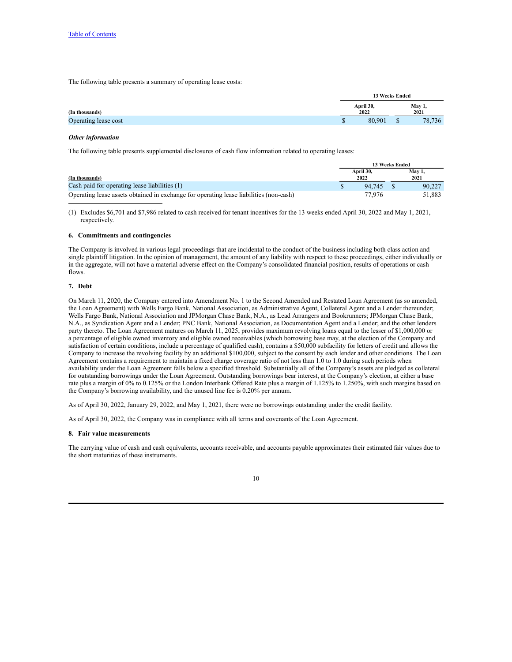The following table presents a summary of operating lease costs:

|                      |                   | <b>13 Weeks Ended</b> |                |  |  |
|----------------------|-------------------|-----------------------|----------------|--|--|
| (In thousands)       | April 30,<br>2022 |                       | May 1,<br>2021 |  |  |
| Operating lease cost | 80,901            | w                     | 78,736         |  |  |

#### *Other information*

The following table presents supplemental disclosures of cash flow information related to operating leases:

|                                                                                        |                   | <b>13 Weeks Ended</b> |                |
|----------------------------------------------------------------------------------------|-------------------|-----------------------|----------------|
| (In thousands)                                                                         | April 30,<br>2022 |                       | May 1,<br>2021 |
| Cash paid for operating lease liabilities (1)                                          | 94.745            |                       | 90.227         |
| Operating lease assets obtained in exchange for operating lease liabilities (non-cash) | 77.976            |                       | 51.883         |

(1) Excludes \$6,701 and \$7,986 related to cash received for tenant incentives for the 13 weeks ended April 30, 2022 and May 1, 2021, respectively.

#### **6. Commitments and contingencies**

The Company is involved in various legal proceedings that are incidental to the conduct of the business including both class action and single plaintiff litigation. In the opinion of management, the amount of any liability with respect to these proceedings, either individually or in the aggregate, will not have a material adverse effect on the Company's consolidated financial position, results of operations or cash flows.

### **7. Debt**

On March 11, 2020, the Company entered into Amendment No. 1 to the Second Amended and Restated Loan Agreement (as so amended, the Loan Agreement) with Wells Fargo Bank, National Association, as Administrative Agent, Collateral Agent and a Lender thereunder; Wells Fargo Bank, National Association and JPMorgan Chase Bank, N.A., as Lead Arrangers and Bookrunners; JPMorgan Chase Bank, N.A., as Syndication Agent and a Lender; PNC Bank, National Association, as Documentation Agent and a Lender; and the other lenders party thereto. The Loan Agreement matures on March 11, 2025, provides maximum revolving loans equal to the lesser of \$1,000,000 or a percentage of eligible owned inventory and eligible owned receivables (which borrowing base may, at the election of the Company and satisfaction of certain conditions, include a percentage of qualified cash), contains a \$50,000 subfacility for letters of credit and allows the Company to increase the revolving facility by an additional \$100,000, subject to the consent by each lender and other conditions. The Loan Agreement contains a requirement to maintain a fixed charge coverage ratio of not less than 1.0 to 1.0 during such periods when availability under the Loan Agreement falls below a specified threshold. Substantially all of the Company's assets are pledged as collateral for outstanding borrowings under the Loan Agreement. Outstanding borrowings bear interest, at the Company's election, at either a base rate plus a margin of 0% to 0.125% or the London Interbank Offered Rate plus a margin of 1.125% to 1.250%, with such margins based on the Company's borrowing availability, and the unused line fee is 0.20% per annum.

As of April 30, 2022, January 29, 2022, and May 1, 2021, there were no borrowings outstanding under the credit facility.

As of April 30, 2022, the Company was in compliance with all terms and covenants of the Loan Agreement.

#### **8. Fair value measurements**

The carrying value of cash and cash equivalents, accounts receivable, and accounts payable approximates their estimated fair values due to the short maturities of these instruments.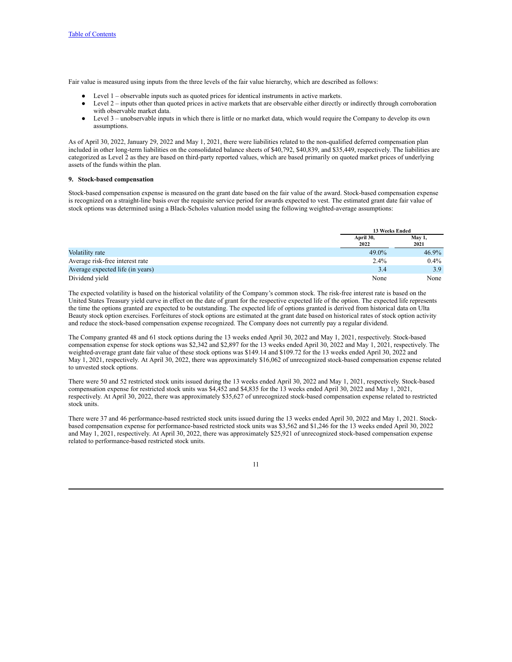Fair value is measured using inputs from the three levels of the fair value hierarchy, which are described as follows:

- Level 1 observable inputs such as quoted prices for identical instruments in active markets.
- Level  $2$  inputs other than quoted prices in active markets that are observable either directly or indirectly through corroboration with observable market data.
- Level 3 unobservable inputs in which there is little or no market data, which would require the Company to develop its own assumptions.

As of April 30, 2022, January 29, 2022 and May 1, 2021, there were liabilities related to the non-qualified deferred compensation plan included in other long-term liabilities on the consolidated balance sheets of \$40,792, \$40,839, and \$35,449, respectively. The liabilities are categorized as Level 2 as they are based on third-party reported values, which are based primarily on quoted market prices of underlying assets of the funds within the plan.

### **9. Stock-based compensation**

Stock-based compensation expense is measured on the grant date based on the fair value of the award. Stock-based compensation expense is recognized on a straight-line basis over the requisite service period for awards expected to vest. The estimated grant date fair value of stock options was determined using a Black-Scholes valuation model using the following weighted-average assumptions:

|                                  | <b>13 Weeks Ended</b> |                |
|----------------------------------|-----------------------|----------------|
|                                  | April 30,<br>2022     | May 1,<br>2021 |
| Volatility rate                  | $49.0\%$              | 46.9%          |
| Average risk-free interest rate  | 2.4%                  | $0.4\%$        |
| Average expected life (in years) | 3.4                   | 3.9            |
| Dividend vield                   | None                  | None           |

The expected volatility is based on the historical volatility of the Company's common stock. The risk-free interest rate is based on the United States Treasury yield curve in effect on the date of grant for the respective expected life of the option. The expected life represents the time the options granted are expected to be outstanding. The expected life of options granted is derived from historical data on Ulta Beauty stock option exercises. Forfeitures of stock options are estimated at the grant date based on historical rates of stock option activity and reduce the stock-based compensation expense recognized. The Company does not currently pay a regular dividend.

The Company granted 48 and 61 stock options during the 13 weeks ended April 30, 2022 and May 1, 2021, respectively. Stock-based compensation expense for stock options was \$2,342 and \$2,897 for the 13 weeks ended April 30, 2022 and May 1, 2021, respectively. The weighted-average grant date fair value of these stock options was \$149.14 and \$109.72 for the 13 weeks ended April 30, 2022 and May 1, 2021, respectively. At April 30, 2022, there was approximately \$16,062 of unrecognized stock-based compensation expense related to unvested stock options.

There were 50 and 52 restricted stock units issued during the 13 weeks ended April 30, 2022 and May 1, 2021, respectively. Stock-based compensation expense for restricted stock units was \$4,452 and \$4,835 for the 13 weeks ended April 30, 2022 and May 1, 2021, respectively. At April 30, 2022, there was approximately \$35,627 of unrecognized stock-based compensation expense related to restricted stock units.

There were 37 and 46 performance-based restricted stock units issued during the 13 weeks ended April 30, 2022 and May 1, 2021. Stockbased compensation expense for performance-based restricted stock units was \$3,562 and \$1,246 for the 13 weeks ended April 30, 2022 and May 1, 2021, respectively. At April 30, 2022, there was approximately \$25,921 of unrecognized stock-based compensation expense related to performance-based restricted stock units.

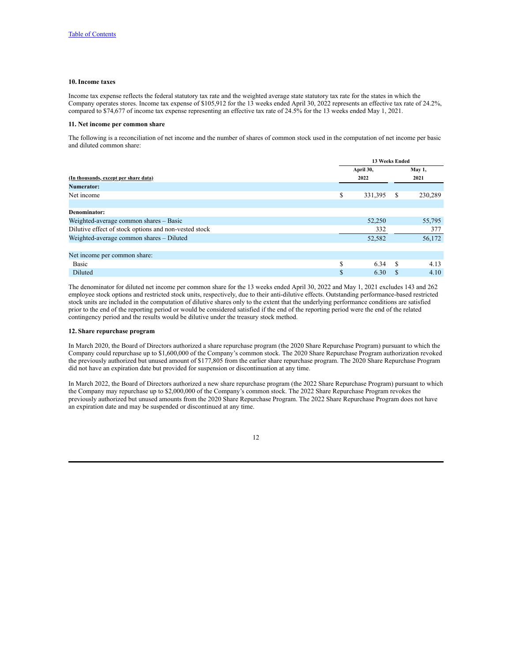# **10.Income taxes**

Income tax expense reflects the federal statutory tax rate and the weighted average state statutory tax rate for the states in which the Company operates stores. Income tax expense of \$105,912 for the 13 weeks ended April 30, 2022 represents an effective tax rate of 24.2%, compared to \$74,677 of income tax expense representing an effective tax rate of 24.5% for the 13 weeks ended May 1, 2021.

# **11. Net income per common share**

The following is a reconciliation of net income and the number of shares of common stock used in the computation of net income per basic and diluted common share:

|                                                       |    | <b>13 Weeks Ended</b> |               |  |  |
|-------------------------------------------------------|----|-----------------------|---------------|--|--|
|                                                       |    | April 30,             | May 1,        |  |  |
| (In thousands, except per share data)                 |    | 2022                  | 2021          |  |  |
| Numerator:                                            |    |                       |               |  |  |
| Net income                                            | \$ | 331,395               | \$<br>230,289 |  |  |
|                                                       |    |                       |               |  |  |
| Denominator:                                          |    |                       |               |  |  |
| Weighted-average common shares - Basic                |    | 52,250                | 55,795        |  |  |
| Dilutive effect of stock options and non-vested stock |    | 332                   | 377           |  |  |
| Weighted-average common shares - Diluted              |    | 52,582                | 56,172        |  |  |
|                                                       |    |                       |               |  |  |
| Net income per common share:                          |    |                       |               |  |  |
| Basic                                                 | S  | \$.<br>6.34           | 4.13          |  |  |
| Diluted                                               | \$ | 6.30                  | 4.10          |  |  |

The denominator for diluted net income per common share for the 13 weeks ended April 30, 2022 and May 1, 2021 excludes 143 and 262 employee stock options and restricted stock units, respectively, due to their anti-dilutive effects. Outstanding performance-based restricted stock units are included in the computation of dilutive shares only to the extent that the underlying performance conditions are satisfied prior to the end of the reporting period or would be considered satisfied if the end of the reporting period were the end of the related contingency period and the results would be dilutive under the treasury stock method.

# **12. Share repurchase program**

In March 2020, the Board of Directors authorized a share repurchase program (the 2020 Share Repurchase Program) pursuant to which the Company could repurchase up to \$1,600,000 of the Company's common stock. The 2020 Share Repurchase Program authorization revoked the previously authorized but unused amount of \$177,805 from the earlier share repurchase program. The 2020 Share Repurchase Program did not have an expiration date but provided for suspension or discontinuation at any time.

In March 2022, the Board of Directors authorized a new share repurchase program (the 2022 Share Repurchase Program) pursuant to which the Company may repurchase up to \$2,000,000 of the Company's common stock. The 2022 Share Repurchase Program revokes the previously authorized but unused amounts from the 2020 Share Repurchase Program. The 2022 Share Repurchase Program does not have an expiration date and may be suspended or discontinued at any time.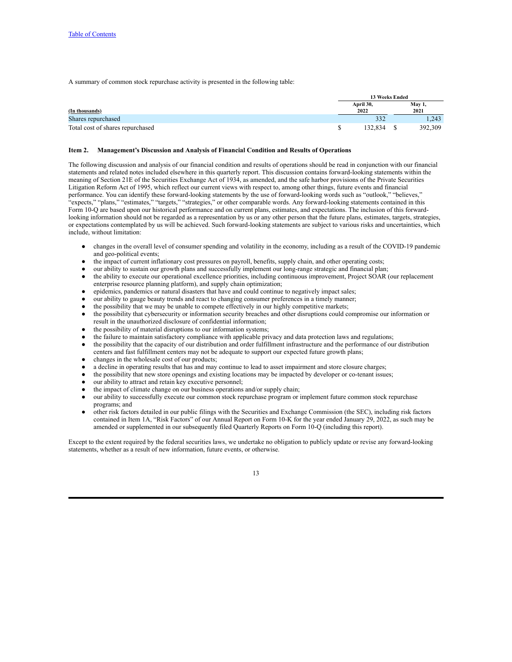A summary of common stock repurchase activity is presented in the following table:

|                                  | <b>13 Weeks Ended</b>     |  |         |
|----------------------------------|---------------------------|--|---------|
| (In thousands)                   | April 30,<br>2022<br>2021 |  | May 1,  |
| Shares repurchased               | 332                       |  | .243    |
| Total cost of shares repurchased | 132.834                   |  | 392,309 |

## <span id="page-12-0"></span>**Item 2. Management's Discussion and Analysis of Financial Condition and Results of Operations**

The following discussion and analysis of our financial condition and results of operations should be read in conjunction with our financial statements and related notes included elsewhere in this quarterly report. This discussion contains forward-looking statements within the meaning of Section 21E of the Securities Exchange Act of 1934, as amended, and the safe harbor provisions of the Private Securities Litigation Reform Act of 1995, which reflect our current views with respect to, among other things, future events and financial performance. You can identify these forward-looking statements by the use of forward-looking words such as "outlook," "believes," "expects," "plans," "estimates," "targets," "strategies," or other comparable words. Any forward-looking statements contained in this Form 10-Q are based upon our historical performance and on current plans, estimates, and expectations. The inclusion of this forwardlooking information should not be regarded as a representation by us or any other person that the future plans, estimates, targets, strategies, or expectations contemplated by us will be achieved. Such forward-looking statements are subject to various risks and uncertainties, which include, without limitation:

- changes in the overall level of consumer spending and volatility in the economy, including as a result of the COVID-19 pandemic and geo-political events;
- the impact of current inflationary cost pressures on payroll, benefits, supply chain, and other operating costs;
- our ability to sustain our growth plans and successfully implement our long-range strategic and financial plan;
- the ability to execute our operational excellence priorities, including continuous improvement, Project SOAR (our replacement enterprise resource planning platform), and supply chain optimization;
- epidemics, pandemics or natural disasters that have and could continue to negatively impact sales;
- our ability to gauge beauty trends and react to changing consumer preferences in a timely manner;
- the possibility that we may be unable to compete effectively in our highly competitive markets;
- the possibility that cybersecurity or information security breaches and other disruptions could compromise our information or result in the unauthorized disclosure of confidential information;
- the possibility of material disruptions to our information systems;
- the failure to maintain satisfactory compliance with applicable privacy and data protection laws and regulations;
- the possibility that the capacity of our distribution and order fulfillment infrastructure and the performance of our distribution centers and fast fulfillment centers may not be adequate to support our expected future growth plans;
- changes in the wholesale cost of our products;
- a decline in operating results that has and may continue to lead to asset impairment and store closure charges;
- the possibility that new store openings and existing locations may be impacted by developer or co-tenant issues;
- our ability to attract and retain key executive personnel;
- the impact of climate change on our business operations and/or supply chain;
- our ability to successfully execute our common stock repurchase program or implement future common stock repurchase programs; and
- other risk factors detailed in our public filings with the Securities and Exchange Commission (the SEC), including risk factors contained in Item 1A, "Risk Factors" of our Annual Report on Form 10-K for the year ended January 29, 2022, as such may be amended or supplemented in our subsequently filed Quarterly Reports on Form 10-Q (including this report).

Except to the extent required by the federal securities laws, we undertake no obligation to publicly update or revise any forward-looking statements, whether as a result of new information, future events, or otherwise.

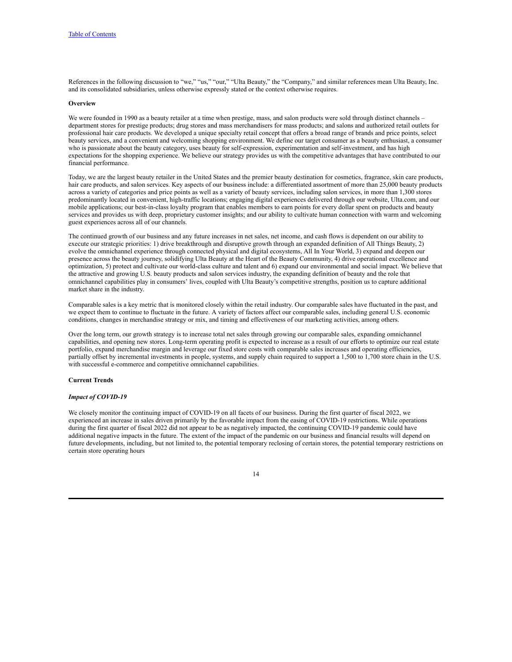References in the following discussion to "we," "us," "our," "Ulta Beauty," the "Company," and similar references mean Ulta Beauty, Inc. and its consolidated subsidiaries, unless otherwise expressly stated or the context otherwise requires.

#### **Overview**

We were founded in 1990 as a beauty retailer at a time when prestige, mass, and salon products were sold through distinct channels – department stores for prestige products; drug stores and mass merchandisers for mass products; and salons and authorized retail outlets for professional hair care products. We developed a unique specialty retail concept that offers a broad range of brands and price points, select beauty services, and a convenient and welcoming shopping environment. We define our target consumer as a beauty enthusiast, a consumer who is passionate about the beauty category, uses beauty for self-expression, experimentation and self-investment, and has high expectations for the shopping experience. We believe our strategy provides us with the competitive advantages that have contributed to our financial performance.

Today, we are the largest beauty retailer in the United States and the premier beauty destination for cosmetics, fragrance, skin care products, hair care products, and salon services. Key aspects of our business include: a differentiated assortment of more than 25,000 beauty products across a variety of categories and price points as well as a variety of beauty services, including salon services, in more than 1,300 stores predominantly located in convenient, high-traffic locations; engaging digital experiences delivered through our website, Ulta.com, and our mobile applications; our best-in-class loyalty program that enables members to earn points for every dollar spent on products and beauty services and provides us with deep, proprietary customer insights; and our ability to cultivate human connection with warm and welcoming guest experiences across all of our channels.

The continued growth of our business and any future increases in net sales, net income, and cash flows is dependent on our ability to execute our strategic priorities: 1) drive breakthrough and disruptive growth through an expanded definition of All Things Beauty, 2) evolve the omnichannel experience through connected physical and digital ecosystems, All In Your World, 3) expand and deepen our presence across the beauty journey, solidifying Ulta Beauty at the Heart of the Beauty Community, 4) drive operational excellence and optimization, 5) protect and cultivate our world-class culture and talent and 6) expand our environmental and social impact. We believe that the attractive and growing U.S. beauty products and salon services industry, the expanding definition of beauty and the role that omnichannel capabilities play in consumers' lives, coupled with Ulta Beauty's competitive strengths, position us to capture additional market share in the industry.

Comparable sales is a key metric that is monitored closely within the retail industry. Our comparable sales have fluctuated in the past, and we expect them to continue to fluctuate in the future. A variety of factors affect our comparable sales, including general U.S. economic conditions, changes in merchandise strategy or mix, and timing and effectiveness of our marketing activities, among others.

Over the long term, our growth strategy is to increase total net sales through growing our comparable sales, expanding omnichannel capabilities, and opening new stores. Long-term operating profit is expected to increase as a result of our efforts to optimize our real estate portfolio, expand merchandise margin and leverage our fixed store costs with comparable sales increases and operating efficiencies, partially offset by incremental investments in people, systems, and supply chain required to support a 1,500 to 1,700 store chain in the U.S. with successful e-commerce and competitive omnichannel capabilities.

### **Current Trends**

### *Impact of COVID-19*

We closely monitor the continuing impact of COVID-19 on all facets of our business. During the first quarter of fiscal 2022, we experienced an increase in sales driven primarily by the favorable impact from the easing of COVID-19 restrictions. While operations during the first quarter of fiscal 2022 did not appear to be as negatively impacted, the continuing COVID-19 pandemic could have additional negative impacts in the future. The extent of the impact of the pandemic on our business and financial results will depend on future developments, including, but not limited to, the potential temporary reclosing of certain stores, the potential temporary restrictions on certain store operating hours

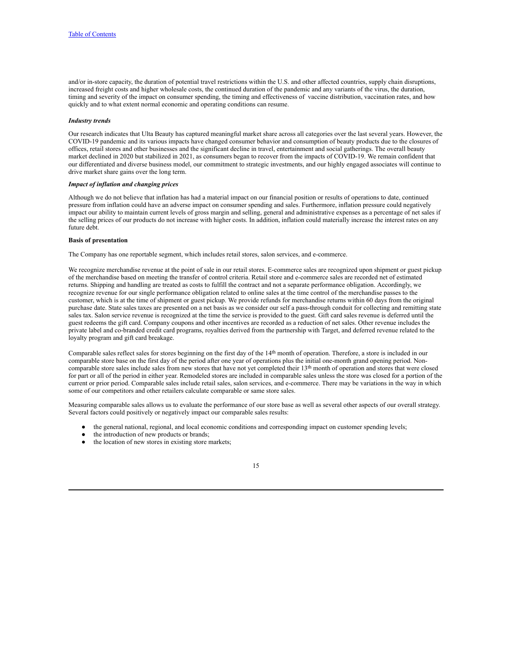and/or in-store capacity, the duration of potential travel restrictions within the U.S. and other affected countries, supply chain disruptions, increased freight costs and higher wholesale costs, the continued duration of the pandemic and any variants of the virus, the duration, timing and severity of the impact on consumer spending, the timing and effectiveness of vaccine distribution, vaccination rates, and how quickly and to what extent normal economic and operating conditions can resume.

### *Industry trends*

Our research indicates that Ulta Beauty has captured meaningful market share across all categories over the last several years. However, the COVID-19 pandemic and its various impacts have changed consumer behavior and consumption of beauty products due to the closures of offices, retail stores and other businesses and the significant decline in travel, entertainment and social gatherings. The overall beauty market declined in 2020 but stabilized in 2021, as consumers began to recover from the impacts of COVID-19. We remain confident that our differentiated and diverse business model, our commitment to strategic investments, and our highly engaged associates will continue to drive market share gains over the long term.

# *Impact of inflation and changing prices*

Although we do not believe that inflation has had a material impact on our financial position or results of operations to date, continued pressure from inflation could have an adverse impact on consumer spending and sales. Furthermore, inflation pressure could negatively impact our ability to maintain current levels of gross margin and selling, general and administrative expenses as a percentage of net sales if the selling prices of our products do not increase with higher costs. In addition, inflation could materially increase the interest rates on any future debt.

### **Basis of presentation**

The Company has one reportable segment, which includes retail stores, salon services, and e-commerce.

We recognize merchandise revenue at the point of sale in our retail stores. E-commerce sales are recognized upon shipment or guest pickup of the merchandise based on meeting the transfer of control criteria. Retail store and e-commerce sales are recorded net of estimated returns. Shipping and handling are treated as costs to fulfill the contract and not a separate performance obligation. Accordingly, we recognize revenue for our single performance obligation related to online sales at the time control of the merchandise passes to the customer, which is at the time of shipment or guest pickup. We provide refunds for merchandise returns within 60 days from the original purchase date. State sales taxes are presented on a net basis as we consider our self a pass-through conduit for collecting and remitting state sales tax. Salon service revenue is recognized at the time the service is provided to the guest. Gift card sales revenue is deferred until the guest redeems the gift card. Company coupons and other incentives are recorded as a reduction of net sales. Other revenue includes the private label and co-branded credit card programs, royalties derived from the partnership with Target, and deferred revenue related to the loyalty program and gift card breakage.

Comparable sales reflect sales for stores beginning on the first day of the 14<sup>th</sup> month of operation. Therefore, a store is included in our comparable store base on the first day of the period after one year of operations plus the initial one-month grand opening period. Noncomparable store sales include sales from new stores that have not yet completed their 13<sup>th</sup> month of operation and stores that were closed for part or all of the period in either year. Remodeled stores are included in comparable sales unless the store was closed for a portion of the current or prior period. Comparable sales include retail sales, salon services, and e-commerce. There may be variations in the way in which some of our competitors and other retailers calculate comparable or same store sales.

Measuring comparable sales allows us to evaluate the performance of our store base as well as several other aspects of our overall strategy. Several factors could positively or negatively impact our comparable sales results:

- the general national, regional, and local economic conditions and corresponding impact on customer spending levels;
- the introduction of new products or brands;
- the location of new stores in existing store markets;

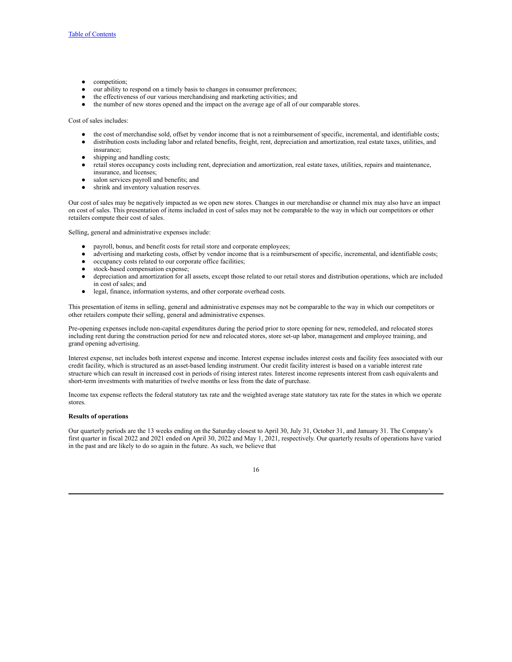- competition;
- our ability to respond on a timely basis to changes in consumer preferences;
- the effectiveness of our various merchandising and marketing activities; and
- the number of new stores opened and the impact on the average age of all of our comparable stores.

### Cost of sales includes:

- the cost of merchandise sold, offset by vendor income that is not a reimbursement of specific, incremental, and identifiable costs;
- distribution costs including labor and related benefits, freight, rent, depreciation and amortization, real estate taxes, utilities, and insurance;
- shipping and handling costs;
- retail stores occupancy costs including rent, depreciation and amortization, real estate taxes, utilities, repairs and maintenance, insurance, and licenses;
- salon services payroll and benefits; and
- shrink and inventory valuation reserves.

Our cost of sales may be negatively impacted as we open new stores. Changes in our merchandise or channel mix may also have an impact on cost of sales. This presentation of items included in cost of sales may not be comparable to the way in which our competitors or other retailers compute their cost of sales.

Selling, general and administrative expenses include:

- payroll, bonus, and benefit costs for retail store and corporate employees;
- advertising and marketing costs, offset by vendor income that is a reimbursement of specific, incremental, and identifiable costs;
- occupancy costs related to our corporate office facilities;
- stock-based compensation expense;
- depreciation and amortization for all assets, except those related to our retail stores and distribution operations, which are included in cost of sales; and
- legal, finance, information systems, and other corporate overhead costs.

This presentation of items in selling, general and administrative expenses may not be comparable to the way in which our competitors or other retailers compute their selling, general and administrative expenses.

Pre-opening expenses include non-capital expenditures during the period prior to store opening for new, remodeled, and relocated stores including rent during the construction period for new and relocated stores, store set-up labor, management and employee training, and grand opening advertising.

Interest expense, net includes both interest expense and income. Interest expense includes interest costs and facility fees associated with our credit facility, which is structured as an asset-based lending instrument. Our credit facility interest is based on a variable interest rate structure which can result in increased cost in periods of rising interest rates. Interest income represents interest from cash equivalents and short-term investments with maturities of twelve months or less from the date of purchase.

Income tax expense reflects the federal statutory tax rate and the weighted average state statutory tax rate for the states in which we operate stores.

#### **Results of operations**

Our quarterly periods are the 13 weeks ending on the Saturday closest to April 30, July 31, October 31, and January 31. The Company's first quarter in fiscal 2022 and 2021 ended on April 30, 2022 and May 1, 2021, respectively. Our quarterly results of operations have varied in the past and are likely to do so again in the future. As such, we believe that

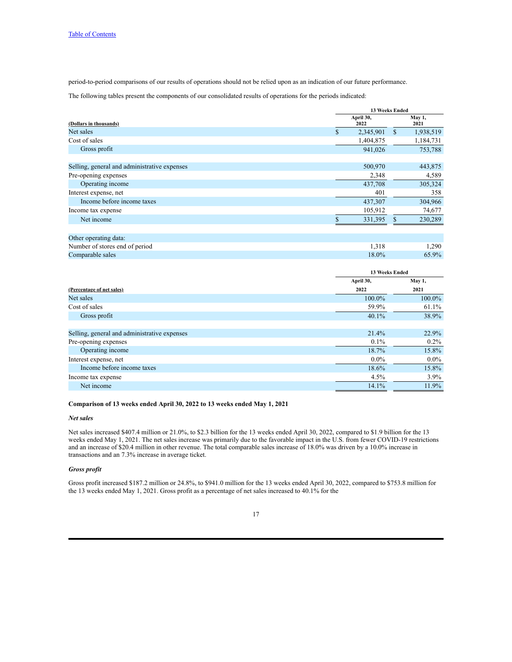period-to-period comparisons of our results of operations should not be relied upon as an indication of our future performance.

The following tables present the components of our consolidated results of operations for the periods indicated:

|                                              |                   | <b>13 Weeks Ended</b> |  |  |  |
|----------------------------------------------|-------------------|-----------------------|--|--|--|
| (Dollars in thousands)                       | April 30,<br>2022 | May 1,<br>2021        |  |  |  |
| Net sales                                    | 2,345,901<br>\$   | 1,938,519<br>\$       |  |  |  |
| Cost of sales                                | 1,404,875         | 1,184,731             |  |  |  |
| Gross profit                                 |                   | 753,788<br>941,026    |  |  |  |
|                                              |                   |                       |  |  |  |
| Selling, general and administrative expenses |                   | 500,970<br>443,875    |  |  |  |
| Pre-opening expenses                         |                   | 2,348<br>4,589        |  |  |  |
| Operating income                             |                   | 437,708<br>305,324    |  |  |  |
| Interest expense, net                        |                   | 401<br>358            |  |  |  |
| Income before income taxes                   |                   | 304,966<br>437,307    |  |  |  |
| Income tax expense                           |                   | 105,912<br>74,677     |  |  |  |
| Net income                                   |                   | 230,289<br>331,395    |  |  |  |
|                                              |                   |                       |  |  |  |
| Other operating data:                        |                   |                       |  |  |  |
| Number of stores end of period               |                   | 1,290<br>1,318        |  |  |  |
| Comparable sales                             |                   | 65.9%<br>18.0%        |  |  |  |

|                                              | <b>13 Weeks Ended</b> |         |
|----------------------------------------------|-----------------------|---------|
|                                              | April 30,             | May 1,  |
| (Percentage of net sales)                    | 2022                  | 2021    |
| Net sales                                    | 100.0%                | 100.0%  |
| Cost of sales                                | 59.9%                 | 61.1%   |
| Gross profit                                 | 40.1%                 | 38.9%   |
|                                              |                       |         |
| Selling, general and administrative expenses | 21.4%                 | 22.9%   |
| Pre-opening expenses                         | $0.1\%$               | $0.2\%$ |
| Operating income                             | 18.7%                 | 15.8%   |
| Interest expense, net                        | $0.0\%$               | $0.0\%$ |
| Income before income taxes                   | 18.6%                 | 15.8%   |
| Income tax expense                           | 4.5%                  | 3.9%    |
| Net income                                   | 14.1%                 | 11.9%   |

# **Comparison of 13 weeks ended April 30, 2022 to 13 weeks ended May 1, 2021**

# *Net sales*

Net sales increased \$407.4 million or 21.0%, to \$2.3 billion for the 13 weeks ended April 30, 2022, compared to \$1.9 billion for the 13 weeks ended May 1, 2021. The net sales increase was primarily due to the favorable impact in the U.S. from fewer COVID-19 restrictions and an increase of \$20.4 million in other revenue. The total comparable sales increase of 18.0% was driven by a 10.0% increase in transactions and an 7.3% increase in average ticket.

### *Gross profit*

Gross profit increased \$187.2 million or 24.8%, to \$941.0 million for the 13 weeks ended April 30, 2022, compared to \$753.8 million for the 13 weeks ended May 1, 2021. Gross profit as a percentage of net sales increased to 40.1% for the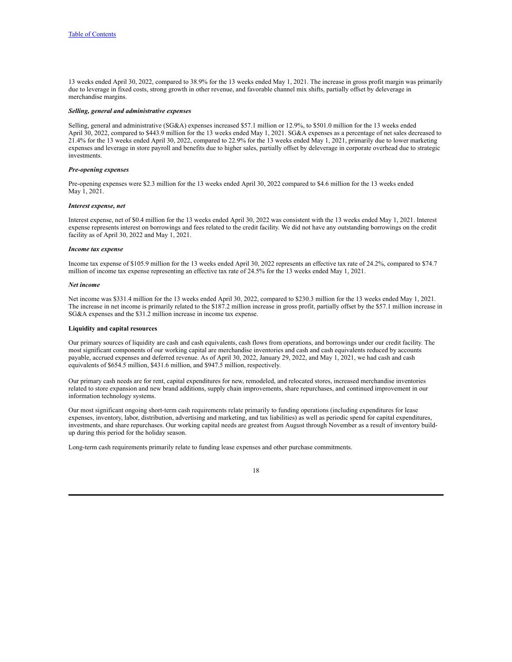13 weeks ended April 30, 2022, compared to 38.9% for the 13 weeks ended May 1, 2021. The increase in gross profit margin was primarily due to leverage in fixed costs, strong growth in other revenue, and favorable channel mix shifts, partially offset by deleverage in merchandise margins.

#### *Selling, general and administrative expenses*

Selling, general and administrative (SG&A) expenses increased \$57.1 million or 12.9%, to \$501.0 million for the 13 weeks ended April 30, 2022, compared to \$443.9 million for the 13 weeks ended May 1, 2021. SG&A expenses as a percentage of net sales decreased to 21.4% for the 13 weeks ended April 30, 2022, compared to 22.9% for the 13 weeks ended May 1, 2021, primarily due to lower marketing expenses and leverage in store payroll and benefits due to higher sales, partially offset by deleverage in corporate overhead due to strategic investments.

### *Pre-opening expenses*

Pre-opening expenses were \$2.3 million for the 13 weeks ended April 30, 2022 compared to \$4.6 million for the 13 weeks ended May 1, 2021.

### *Interest expense, net*

Interest expense, net of \$0.4 million for the 13 weeks ended April 30, 2022 was consistent with the 13 weeks ended May 1, 2021. Interest expense represents interest on borrowings and fees related to the credit facility. We did not have any outstanding borrowings on the credit facility as of April 30, 2022 and May 1, 2021.

#### *Income tax expense*

Income tax expense of \$105.9 million for the 13 weeks ended April 30, 2022 represents an effective tax rate of 24.2%, compared to \$74.7 million of income tax expense representing an effective tax rate of 24.5% for the 13 weeks ended May 1, 2021.

### *Net income*

Net income was \$331.4 million for the 13 weeks ended April 30, 2022, compared to \$230.3 million for the 13 weeks ended May 1, 2021. The increase in net income is primarily related to the \$187.2 million increase in gross profit, partially offset by the \$57.1 million increase in SG&A expenses and the \$31.2 million increase in income tax expense.

### **Liquidity and capital resources**

Our primary sources of liquidity are cash and cash equivalents, cash flows from operations, and borrowings under our credit facility. The most significant components of our working capital are merchandise inventories and cash and cash equivalents reduced by accounts payable, accrued expenses and deferred revenue. As of April 30, 2022, January 29, 2022, and May 1, 2021, we had cash and cash equivalents of \$654.5 million, \$431.6 million, and \$947.5 million, respectively.

Our primary cash needs are for rent, capital expenditures for new, remodeled, and relocated stores, increased merchandise inventories related to store expansion and new brand additions, supply chain improvements, share repurchases, and continued improvement in our information technology systems.

Our most significant ongoing short-term cash requirements relate primarily to funding operations (including expenditures for lease expenses, inventory, labor, distribution, advertising and marketing, and tax liabilities) as well as periodic spend for capital expenditures, investments, and share repurchases. Our working capital needs are greatest from August through November as a result of inventory buildup during this period for the holiday season.

Long-term cash requirements primarily relate to funding lease expenses and other purchase commitments.

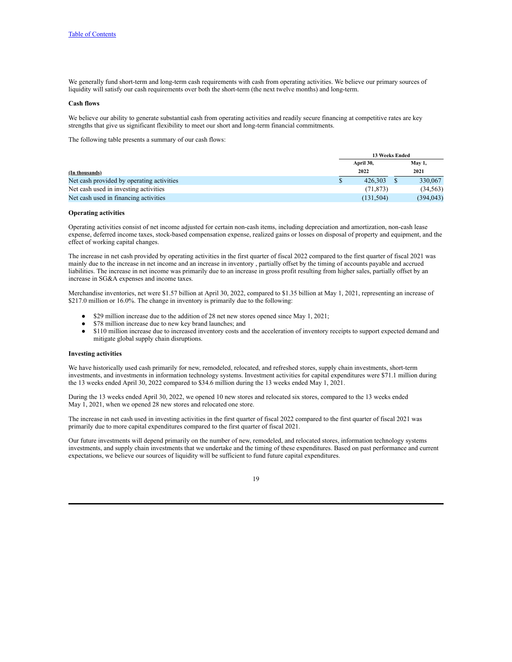We generally fund short-term and long-term cash requirements with cash from operating activities. We believe our primary sources of liquidity will satisfy our cash requirements over both the short-term (the next twelve months) and long-term.

#### **Cash flows**

We believe our ability to generate substantial cash from operating activities and readily secure financing at competitive rates are key strengths that give us significant flexibility to meet our short and long-term financial commitments.

The following table presents a summary of our cash flows:

|                                           |           | <b>13 Weeks Ended</b> |                |  |
|-------------------------------------------|-----------|-----------------------|----------------|--|
|                                           | April 30, |                       | May 1,<br>2021 |  |
| (In thousands)                            | 2022      |                       |                |  |
| Net cash provided by operating activities |           | 426.303               | 330,067        |  |
| Net cash used in investing activities     |           | (71.873)              | (34.563)       |  |
| Net cash used in financing activities     |           | (131, 504)            | (394, 043)     |  |

#### **Operating activities**

Operating activities consist of net income adjusted for certain non-cash items, including depreciation and amortization, non-cash lease expense, deferred income taxes, stock-based compensation expense, realized gains or losses on disposal of property and equipment, and the effect of working capital changes.

The increase in net cash provided by operating activities in the first quarter of fiscal 2022 compared to the first quarter of fiscal 2021 was mainly due to the increase in net income and an increase in inventory , partially offset by the timing of accounts payable and accrued liabilities. The increase in net income was primarily due to an increase in gross profit resulting from higher sales, partially offset by an increase in SG&A expenses and income taxes.

Merchandise inventories, net were \$1.57 billion at April 30, 2022, compared to \$1.35 billion at May 1, 2021, representing an increase of \$217.0 million or 16.0%. The change in inventory is primarily due to the following:

- \$29 million increase due to the addition of 28 net new stores opened since May 1, 2021;
- \$78 million increase due to new key brand launches; and
- \$110 million increase due to increased inventory costs and the acceleration of inventory receipts to support expected demand and mitigate global supply chain disruptions.

## **Investing activities**

We have historically used cash primarily for new, remodeled, relocated, and refreshed stores, supply chain investments, short-term investments, and investments in information technology systems. Investment activities for capital expenditures were \$71.1 million during the 13 weeks ended April 30, 2022 compared to \$34.6 million during the 13 weeks ended May 1, 2021.

During the 13 weeks ended April 30, 2022, we opened 10 new stores and relocated six stores, compared to the 13 weeks ended May 1, 2021, when we opened 28 new stores and relocated one store.

The increase in net cash used in investing activities in the first quarter of fiscal 2022 compared to the first quarter of fiscal 2021 was primarily due to more capital expenditures compared to the first quarter of fiscal 2021.

Our future investments will depend primarily on the number of new, remodeled, and relocated stores, information technology systems investments, and supply chain investments that we undertake and the timing of these expenditures. Based on past performance and current expectations, we believe our sources of liquidity will be sufficient to fund future capital expenditures.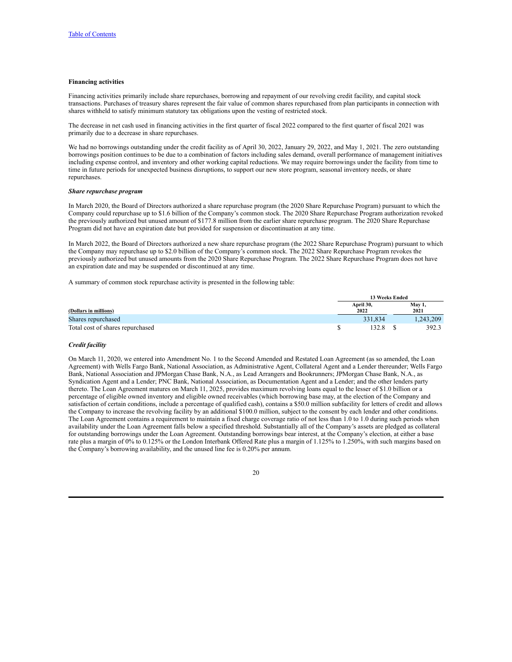# **Financing activities**

Financing activities primarily include share repurchases, borrowing and repayment of our revolving credit facility, and capital stock transactions. Purchases of treasury shares represent the fair value of common shares repurchased from plan participants in connection with shares withheld to satisfy minimum statutory tax obligations upon the vesting of restricted stock.

The decrease in net cash used in financing activities in the first quarter of fiscal 2022 compared to the first quarter of fiscal 2021 was primarily due to a decrease in share repurchases.

We had no borrowings outstanding under the credit facility as of April 30, 2022, January 29, 2022, and May 1, 2021. The zero outstanding borrowings position continues to be due to a combination of factors including sales demand, overall performance of management initiatives including expense control, and inventory and other working capital reductions. We may require borrowings under the facility from time to time in future periods for unexpected business disruptions, to support our new store program, seasonal inventory needs, or share repurchases.

### *Share repurchase program*

In March 2020, the Board of Directors authorized a share repurchase program (the 2020 Share Repurchase Program) pursuant to which the Company could repurchase up to \$1.6 billion of the Company's common stock. The 2020 Share Repurchase Program authorization revoked the previously authorized but unused amount of \$177.8 million from the earlier share repurchase program. The 2020 Share Repurchase Program did not have an expiration date but provided for suspension or discontinuation at any time.

In March 2022, the Board of Directors authorized a new share repurchase program (the 2022 Share Repurchase Program) pursuant to which the Company may repurchase up to \$2.0 billion of the Company's common stock. The 2022 Share Repurchase Program revokes the previously authorized but unused amounts from the 2020 Share Repurchase Program. The 2022 Share Repurchase Program does not have an expiration date and may be suspended or discontinued at any time.

A summary of common stock repurchase activity is presented in the following table:

|                                  |                   | <b>13 Weeks Ended</b> |                |  |
|----------------------------------|-------------------|-----------------------|----------------|--|
| (Dollars in millions)            | April 30.<br>2022 |                       | May 1,<br>2021 |  |
| Shares repurchased               | 331.834           |                       | 1.243.209      |  |
| Total cost of shares repurchased |                   |                       | 392.3          |  |

### *Credit facility*

On March 11, 2020, we entered into Amendment No. 1 to the Second Amended and Restated Loan Agreement (as so amended, the Loan Agreement) with Wells Fargo Bank, National Association, as Administrative Agent, Collateral Agent and a Lender thereunder; Wells Fargo Bank, National Association and JPMorgan Chase Bank, N.A., as Lead Arrangers and Bookrunners; JPMorgan Chase Bank, N.A., as Syndication Agent and a Lender; PNC Bank, National Association, as Documentation Agent and a Lender; and the other lenders party thereto. The Loan Agreement matures on March 11, 2025, provides maximum revolving loans equal to the lesser of \$1.0 billion or a percentage of eligible owned inventory and eligible owned receivables (which borrowing base may, at the election of the Company and satisfaction of certain conditions, include a percentage of qualified cash), contains a \$50.0 million subfacility for letters of credit and allows the Company to increase the revolving facility by an additional \$100.0 million, subject to the consent by each lender and other conditions. The Loan Agreement contains a requirement to maintain a fixed charge coverage ratio of not less than 1.0 to 1.0 during such periods when availability under the Loan Agreement falls below a specified threshold. Substantially all of the Company's assets are pledged as collateral for outstanding borrowings under the Loan Agreement. Outstanding borrowings bear interest, at the Company's election, at either a base rate plus a margin of 0% to 0.125% or the London Interbank Offered Rate plus a margin of 1.125% to 1.250%, with such margins based on the Company's borrowing availability, and the unused line fee is 0.20% per annum.

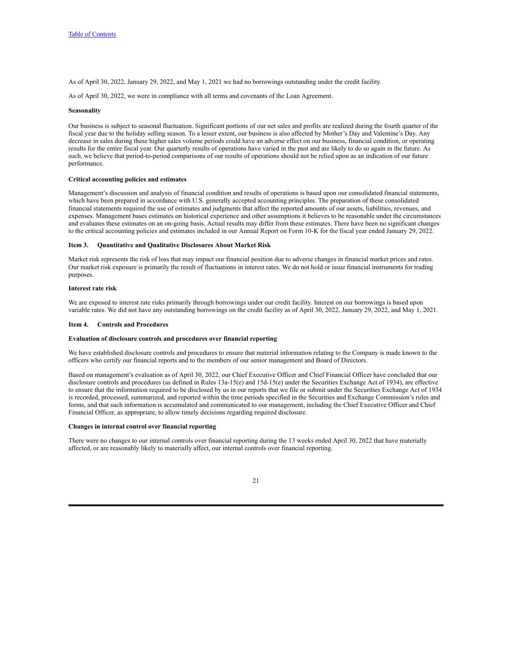As of April 30, 2022, January 29, 2022, and May 1, 2021 we had no borrowings outstanding under the credit facility.

As of April 30, 2022, we were in compliance with all terms and covenants of the Loan Agreement.

## **Seasonality**

Our business is subject to seasonal fluctuation. Significant portions of our net sales and profits are realized during the fourth quarter of the fiscal year due to the holiday selling season. To a lesser extent, our business is also affected by Mother's Day and Valentine's Day. Any decrease in sales during these higher sales volume periods could have an adverse effect on our business, financial condition, or operating results for the entire fiscal year. Our quarterly results of operations have varied in the past and are likely to do so again in the future. As such, we believe that period-to-period comparisons of our results of operations should not be relied upon as an indication of our future performance.

## **Critical accounting policies and estimates**

Management's discussion and analysis of financial condition and results of operations is based upon our consolidated financial statements, which have been prepared in accordance with U.S. generally accepted accounting principles. The preparation of these consolidated financial statements required the use of estimates and judgments that affect the reported amounts of our assets, liabilities, revenues, and expenses. Management bases estimates on historical experience and other assumptions it believes to be reasonable under the circumstances and evaluates these estimates on an on-going basis. Actual results may differ from these estimates. There have been no significant changes to the critical accounting policies and estimates included in our Annual Report on Form 10-K for the fiscal year ended January 29, 2022.

### <span id="page-20-0"></span>**Item 3. Quantitative and Qualitative Disclosures About Market Risk**

Market risk represents the risk of loss that may impact our financial position due to adverse changes in financial market prices and rates. Our market risk exposure is primarily the result of fluctuations in interest rates. We do not hold or issue financial instruments for trading purposes.

## **Interest rate risk**

We are exposed to interest rate risks primarily through borrowings under our credit facility. Interest on our borrowings is based upon variable rates. We did not have any outstanding borrowings on the credit facility as of April 30, 2022, January 29, 2022, and May 1, 2021.

### <span id="page-20-1"></span>**Item 4. Controls and Procedures**

# **Evaluation of disclosure controls and procedures over financial reporting**

We have established disclosure controls and procedures to ensure that material information relating to the Company is made known to the officers who certify our financial reports and to the members of our senior management and Board of Directors.

Based on management's evaluation as of April 30, 2022, our Chief Executive Officer and Chief Financial Officer have concluded that our disclosure controls and procedures (as defined in Rules 13a-15(e) and 15d-15(e) under the Securities Exchange Act of 1934), are effective to ensure that the information required to be disclosed by us in our reports that we file or submit under the Securities Exchange Act of 1934 is recorded, processed, summarized, and reported within the time periods specified in the Securities and Exchange Commission's rules and forms, and that such information is accumulated and communicated to our management, including the Chief Executive Officer and Chief Financial Officer, as appropriate, to allow timely decisions regarding required disclosure.

# **Changes in internal control over financial reporting**

There were no changes to our internal controls over financial reporting during the 13 weeks ended April 30, 2022 that have materially affected, or are reasonably likely to materially affect, our internal controls over financial reporting.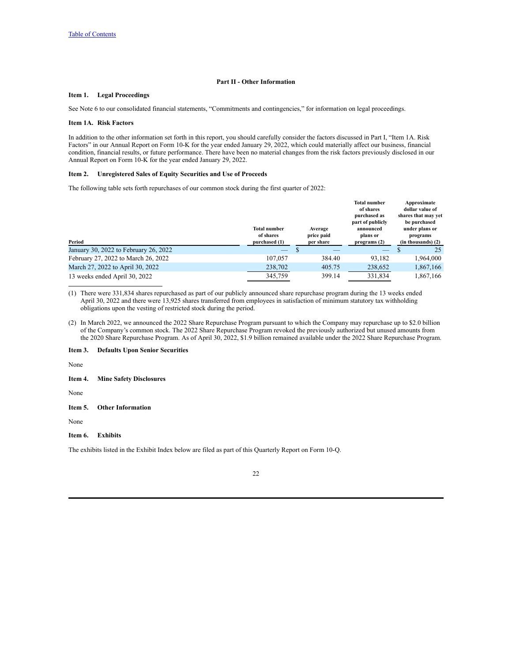# **Part II - Other Information**

# <span id="page-21-1"></span><span id="page-21-0"></span>**Item 1. Legal Proceedings**

See Note 6 to our consolidated financial statements, "Commitments and contingencies," for information on legal proceedings.

# <span id="page-21-2"></span>**Item 1A. Risk Factors**

In addition to the other information set forth in this report, you should carefully consider the factors discussed in Part I, "Item 1A. Risk Factors" in our Annual Report on Form 10-K for the year ended January 29, 2022, which could materially affect our business, financial condition, financial results, or future performance. There have been no material changes from the risk factors previously disclosed in our Annual Report on Form 10-K for the year ended January 29, 2022.

# <span id="page-21-3"></span>**Item 2. Unregistered Sales of Equity Securities and Use of Proceeds**

The following table sets forth repurchases of our common stock during the first quarter of 2022:

| Period                                | <b>Total number</b><br>of shares<br>purchased (1) | Average<br>price paid<br>per share | <b>Total number</b><br>of shares<br>purchased as<br>part of publicly<br>announced<br>plans or<br>programs(2) | Approximate<br>dollar value of<br>shares that may vet<br>be purchased<br>under plans or<br>programs<br>$(in thousands)$ (2) |
|---------------------------------------|---------------------------------------------------|------------------------------------|--------------------------------------------------------------------------------------------------------------|-----------------------------------------------------------------------------------------------------------------------------|
| January 30, 2022 to February 26, 2022 |                                                   |                                    |                                                                                                              | 25                                                                                                                          |
| February 27, 2022 to March 26, 2022   | 107.057                                           | 384.40                             | 93.182                                                                                                       | 1,964,000                                                                                                                   |
| March 27, 2022 to April 30, 2022      | 238,702                                           | 405.75                             | 238,652                                                                                                      | 1,867,166                                                                                                                   |
| 13 weeks ended April 30, 2022         | 345.759                                           | 399.14                             | 331.834                                                                                                      | 1,867,166                                                                                                                   |

(1) There were 331,834 shares repurchased as part of our publicly announced share repurchase program during the 13 weeks ended April 30, 2022 and there were 13,925 shares transferred from employees in satisfaction of minimum statutory tax withholding obligations upon the vesting of restricted stock during the period.

(2) In March 2022, we announced the 2022 Share Repurchase Program pursuant to which the Company may repurchase up to \$2.0 billion of the Company's common stock. The 2022 Share Repurchase Program revoked the previously authorized but unused amounts from the 2020 Share Repurchase Program. As of April 30, 2022, \$1.9 billion remained available under the 2022 Share Repurchase Program.

### <span id="page-21-4"></span>**Item 3. Defaults Upon Senior Securities**

None

<span id="page-21-5"></span>**Item 4. Mine Safety Disclosures**

None

## <span id="page-21-6"></span>**Item 5. Other Information**

None

### <span id="page-21-7"></span>**Item 6. Exhibits**

The exhibits listed in the Exhibit Index below are filed as part of this Quarterly Report on Form 10-Q.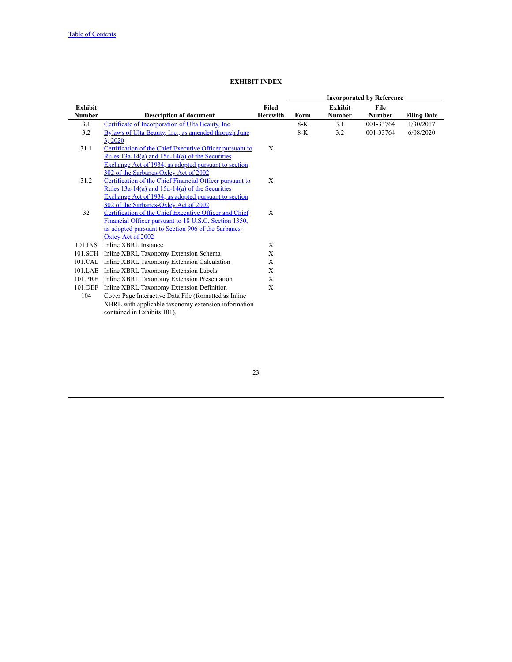# **EXHIBIT INDEX**

|                |                                                          |                 | <b>Incorporated by Reference</b> |                |               |                    |
|----------------|----------------------------------------------------------|-----------------|----------------------------------|----------------|---------------|--------------------|
| <b>Exhibit</b> |                                                          | <b>Filed</b>    |                                  | <b>Exhibit</b> | File          |                    |
| <b>Number</b>  | <b>Description of document</b>                           | <b>Herewith</b> | Form                             | <b>Number</b>  | <b>Number</b> | <b>Filing Date</b> |
| 3.1            | Certificate of Incorporation of Ulta Beauty, Inc.        |                 | $8-K$                            | 3.1            | 001-33764     | 1/30/2017          |
| 3.2            | Bylaws of Ulta Beauty, Inc., as amended through June     |                 | $8-K$                            | 3.2            | 001-33764     | 6/08/2020          |
|                | 3,2020                                                   |                 |                                  |                |               |                    |
| 31.1           | Certification of the Chief Executive Officer pursuant to | X               |                                  |                |               |                    |
|                | Rules $13a-14(a)$ and $15d-14(a)$ of the Securities      |                 |                                  |                |               |                    |
|                | Exchange Act of 1934, as adopted pursuant to section     |                 |                                  |                |               |                    |
|                | 302 of the Sarbanes-Oxley Act of 2002                    |                 |                                  |                |               |                    |
| 31.2           | Certification of the Chief Financial Officer pursuant to | X               |                                  |                |               |                    |
|                | Rules $13a-14(a)$ and $15d-14(a)$ of the Securities      |                 |                                  |                |               |                    |
|                | Exchange Act of 1934, as adopted pursuant to section     |                 |                                  |                |               |                    |
|                | 302 of the Sarbanes-Oxley Act of 2002                    |                 |                                  |                |               |                    |
| 32             | Certification of the Chief Executive Officer and Chief   | X               |                                  |                |               |                    |
|                | Financial Officer pursuant to 18 U.S.C. Section 1350,    |                 |                                  |                |               |                    |
|                | as adopted pursuant to Section 906 of the Sarbanes-      |                 |                                  |                |               |                    |
|                | Oxley Act of 2002                                        |                 |                                  |                |               |                    |
| 101.INS        | Inline XBRL Instance                                     | X               |                                  |                |               |                    |
| 101.SCH        | Inline XBRL Taxonomy Extension Schema                    | X               |                                  |                |               |                    |
|                | 101.CAL Inline XBRL Taxonomy Extension Calculation       | X               |                                  |                |               |                    |
|                | 101.LAB Inline XBRL Taxonomy Extension Labels            | X               |                                  |                |               |                    |
|                | 101.PRE Inline XBRL Taxonomy Extension Presentation      | X               |                                  |                |               |                    |
| 101.DEF        | Inline XBRL Taxonomy Extension Definition                | X               |                                  |                |               |                    |
| 104            | Cover Page Interactive Data File (formatted as Inline    |                 |                                  |                |               |                    |
|                | XBRL with applicable taxonomy extension information      |                 |                                  |                |               |                    |
|                | contained in Exhibits 101).                              |                 |                                  |                |               |                    |
|                |                                                          |                 |                                  |                |               |                    |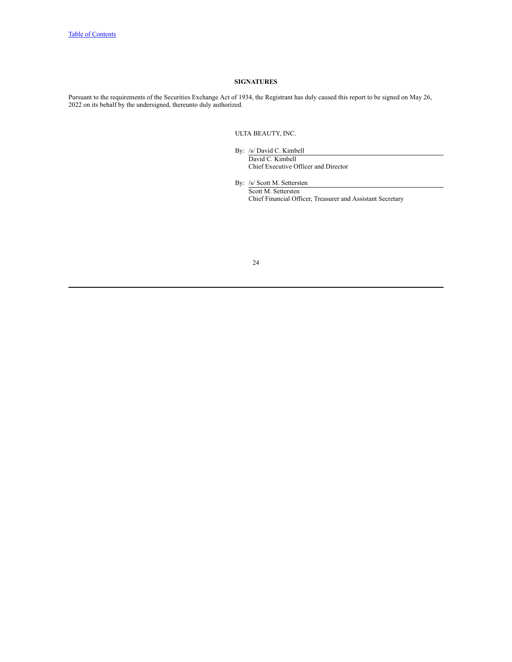# **SIGNATURES**

<span id="page-23-0"></span>Pursuant to the requirements of the Securities Exchange Act of 1934, the Registrant has duly caused this report to be signed on May 26, 2022 on its behalf by the undersigned, thereunto duly authorized.

ULTA BEAUTY, INC.

By: /s/ David C. Kimbell David C. Kimbell Chief Executive Officer and Director

By: /s/ Scott M. Settersten

Scott M. Settersten Chief Financial Officer, Treasurer and Assistant Secretary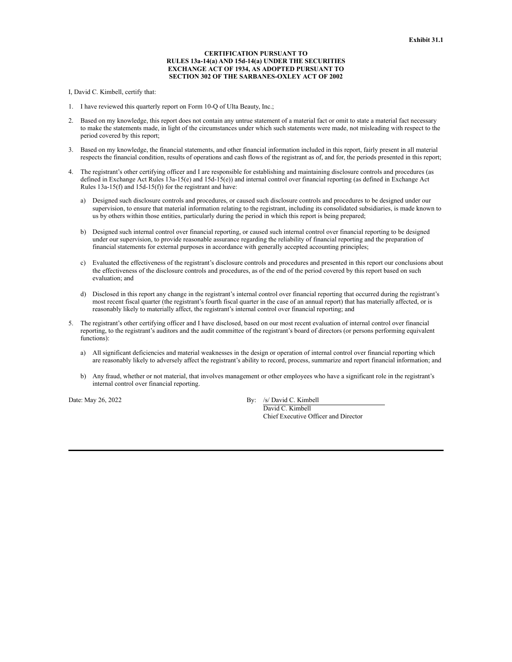### **CERTIFICATION PURSUANT TO RULES 13a-14(a) AND 15d-14(a) UNDER THE SECURITIES EXCHANGE ACT OF 1934, AS ADOPTED PURSUANT TO SECTION 302 OF THE SARBANES-OXLEY ACT OF 2002**

I, David C. Kimbell, certify that:

- 1. I have reviewed this quarterly report on Form 10-Q of Ulta Beauty, Inc.;
- 2. Based on my knowledge, this report does not contain any untrue statement of a material fact or omit to state a material fact necessary to make the statements made, in light of the circumstances under which such statements were made, not misleading with respect to the period covered by this report;
- 3. Based on my knowledge, the financial statements, and other financial information included in this report, fairly present in all material respects the financial condition, results of operations and cash flows of the registrant as of, and for, the periods presented in this report;
- 4. The registrant's other certifying officer and I are responsible for establishing and maintaining disclosure controls and procedures (as defined in Exchange Act Rules 13a-15(e) and 15d-15(e)) and internal control over financial reporting (as defined in Exchange Act Rules 13a-15(f) and 15d-15(f)) for the registrant and have:
	- a) Designed such disclosure controls and procedures, or caused such disclosure controls and procedures to be designed under our supervision, to ensure that material information relating to the registrant, including its consolidated subsidiaries, is made known to us by others within those entities, particularly during the period in which this report is being prepared;
	- b) Designed such internal control over financial reporting, or caused such internal control over financial reporting to be designed under our supervision, to provide reasonable assurance regarding the reliability of financial reporting and the preparation of financial statements for external purposes in accordance with generally accepted accounting principles;
	- c) Evaluated the effectiveness of the registrant's disclosure controls and procedures and presented in this report our conclusions about the effectiveness of the disclosure controls and procedures, as of the end of the period covered by this report based on such evaluation; and
	- d) Disclosed in this report any change in the registrant's internal control over financial reporting that occurred during the registrant's most recent fiscal quarter (the registrant's fourth fiscal quarter in the case of an annual report) that has materially affected, or is reasonably likely to materially affect, the registrant's internal control over financial reporting; and
- 5. The registrant's other certifying officer and I have disclosed, based on our most recent evaluation of internal control over financial reporting, to the registrant's auditors and the audit committee of the registrant's board of directors (or persons performing equivalent functions):
	- a) All significant deficiencies and material weaknesses in the design or operation of internal control over financial reporting which are reasonably likely to adversely affect the registrant's ability to record, process, summarize and report financial information; and
	- b) Any fraud, whether or not material, that involves management or other employees who have a significant role in the registrant's internal control over financial reporting.

Date: May 26, 2022 By: /s/ David C. Kimbell

David C. Kimbell Chief Executive Officer and Director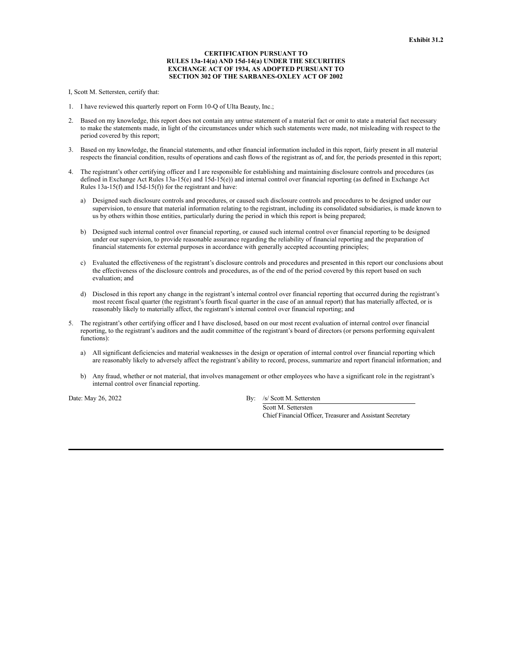### **CERTIFICATION PURSUANT TO RULES 13a-14(a) AND 15d-14(a) UNDER THE SECURITIES EXCHANGE ACT OF 1934, AS ADOPTED PURSUANT TO SECTION 302 OF THE SARBANES-OXLEY ACT OF 2002**

I, Scott M. Settersten, certify that:

- 1. I have reviewed this quarterly report on Form 10-Q of Ulta Beauty, Inc.;
- 2. Based on my knowledge, this report does not contain any untrue statement of a material fact or omit to state a material fact necessary to make the statements made, in light of the circumstances under which such statements were made, not misleading with respect to the period covered by this report;
- 3. Based on my knowledge, the financial statements, and other financial information included in this report, fairly present in all material respects the financial condition, results of operations and cash flows of the registrant as of, and for, the periods presented in this report;
- 4. The registrant's other certifying officer and I are responsible for establishing and maintaining disclosure controls and procedures (as defined in Exchange Act Rules 13a-15(e) and 15d-15(e)) and internal control over financial reporting (as defined in Exchange Act Rules 13a-15(f) and 15d-15(f)) for the registrant and have:
	- a) Designed such disclosure controls and procedures, or caused such disclosure controls and procedures to be designed under our supervision, to ensure that material information relating to the registrant, including its consolidated subsidiaries, is made known to us by others within those entities, particularly during the period in which this report is being prepared;
	- b) Designed such internal control over financial reporting, or caused such internal control over financial reporting to be designed under our supervision, to provide reasonable assurance regarding the reliability of financial reporting and the preparation of financial statements for external purposes in accordance with generally accepted accounting principles;
	- c) Evaluated the effectiveness of the registrant's disclosure controls and procedures and presented in this report our conclusions about the effectiveness of the disclosure controls and procedures, as of the end of the period covered by this report based on such evaluation; and
	- d) Disclosed in this report any change in the registrant's internal control over financial reporting that occurred during the registrant's most recent fiscal quarter (the registrant's fourth fiscal quarter in the case of an annual report) that has materially affected, or is reasonably likely to materially affect, the registrant's internal control over financial reporting; and
- 5. The registrant's other certifying officer and I have disclosed, based on our most recent evaluation of internal control over financial reporting, to the registrant's auditors and the audit committee of the registrant's board of directors (or persons performing equivalent functions):
	- a) All significant deficiencies and material weaknesses in the design or operation of internal control over financial reporting which are reasonably likely to adversely affect the registrant's ability to record, process, summarize and report financial information; and
	- b) Any fraud, whether or not material, that involves management or other employees who have a significant role in the registrant's internal control over financial reporting.

Date: May 26, 2022 By: /s/ Scott M. Settersten

Scott M. Settersten Chief Financial Officer, Treasurer and Assistant Secretary